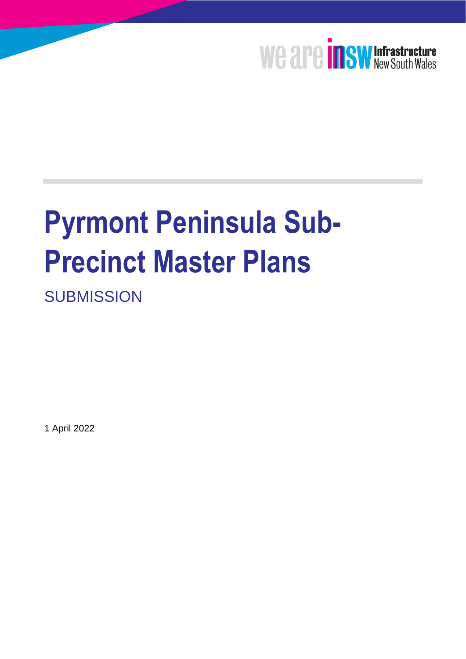

# **Pyrmont Peninsula Sub-Precinct Master Plans**

**SUBMISSION** 

1 April 2022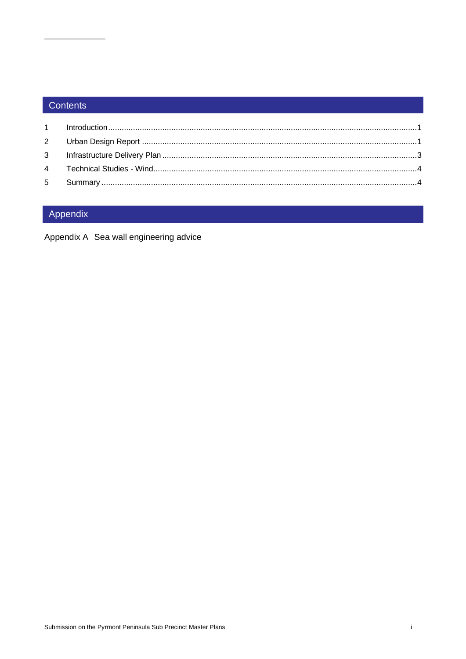# Contents

# Appendix

Appendix A Sea wall engineering advice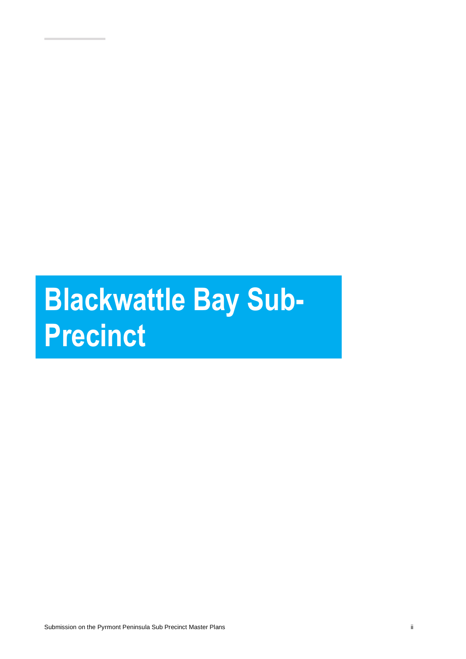# **Blackwattle Bay Sub-Precinct**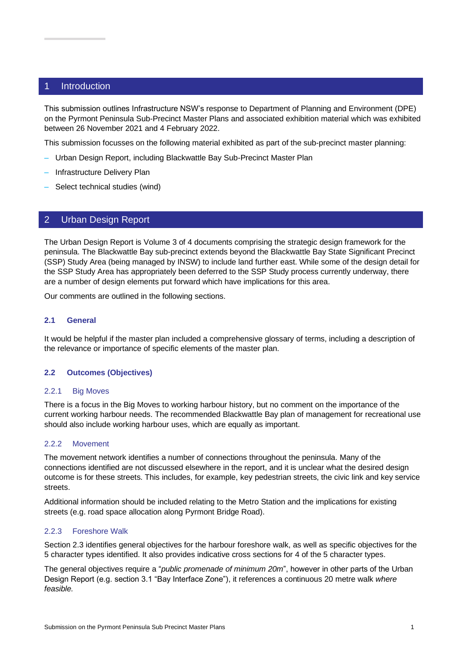### <span id="page-3-0"></span>1 Introduction

This submission outlines Infrastructure NSW's response to Department of Planning and Environment (DPE) on the Pyrmont Peninsula Sub-Precinct Master Plans and associated exhibition material which was exhibited between 26 November 2021 and 4 February 2022.

This submission focusses on the following material exhibited as part of the sub-precinct master planning:

- Urban Design Report, including Blackwattle Bay Sub-Precinct Master Plan
- Infrastructure Delivery Plan
- <span id="page-3-1"></span>– Select technical studies (wind)

# 2 Urban Design Report

The Urban Design Report is Volume 3 of 4 documents comprising the strategic design framework for the peninsula. The Blackwattle Bay sub-precinct extends beyond the Blackwattle Bay State Significant Precinct (SSP) Study Area (being managed by INSW) to include land further east. While some of the design detail for the SSP Study Area has appropriately been deferred to the SSP Study process currently underway, there are a number of design elements put forward which have implications for this area.

Our comments are outlined in the following sections.

#### **2.1 General**

It would be helpful if the master plan included a comprehensive glossary of terms, including a description of the relevance or importance of specific elements of the master plan.

#### **2.2 Outcomes (Objectives)**

#### 2.2.1 Big Moves

There is a focus in the Big Moves to working harbour history, but no comment on the importance of the current working harbour needs. The recommended Blackwattle Bay plan of management for recreational use should also include working harbour uses, which are equally as important.

#### 2.2.2 Movement

The movement network identifies a number of connections throughout the peninsula. Many of the connections identified are not discussed elsewhere in the report, and it is unclear what the desired design outcome is for these streets. This includes, for example, key pedestrian streets, the civic link and key service streets.

Additional information should be included relating to the Metro Station and the implications for existing streets (e.g. road space allocation along Pyrmont Bridge Road).

#### 2.2.3 Foreshore Walk

Section 2.3 identifies general objectives for the harbour foreshore walk, as well as specific objectives for the 5 character types identified. It also provides indicative cross sections for 4 of the 5 character types.

The general objectives require a "*public promenade of minimum 20m*", however in other parts of the Urban Design Report (e.g. section 3.1 "Bay Interface Zone"), it references a continuous 20 metre walk *where feasible.*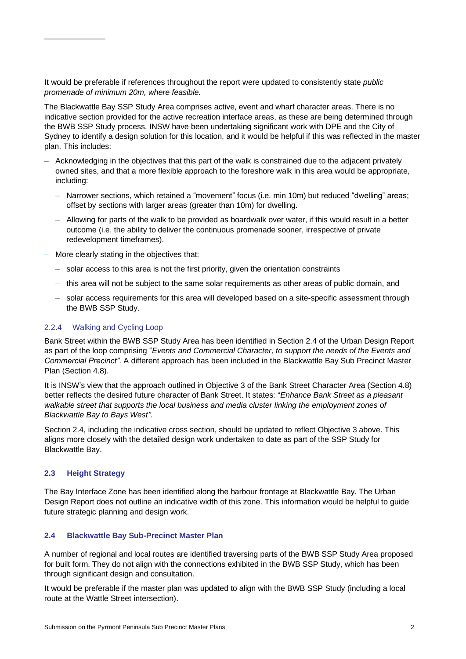It would be preferable if references throughout the report were updated to consistently state *public promenade of minimum 20m, where feasible.*

The Blackwattle Bay SSP Study Area comprises active, event and wharf character areas. There is no indicative section provided for the active recreation interface areas, as these are being determined through the BWB SSP Study process. INSW have been undertaking significant work with DPE and the City of Sydney to identify a design solution for this location, and it would be helpful if this was reflected in the master plan. This includes:

- Acknowledging in the objectives that this part of the walk is constrained due to the adjacent privately owned sites, and that a more flexible approach to the foreshore walk in this area would be appropriate, including:
	- Narrower sections, which retained a "movement" focus (i.e. min 10m) but reduced "dwelling" areas; offset by sections with larger areas (greater than 10m) for dwelling.
	- Allowing for parts of the walk to be provided as boardwalk over water, if this would result in a better outcome (i.e. the ability to deliver the continuous promenade sooner, irrespective of private redevelopment timeframes).
- More clearly stating in the objectives that:
	- solar access to this area is not the first priority, given the orientation constraints
	- this area will not be subject to the same solar requirements as other areas of public domain, and
	- solar access requirements for this area will developed based on a site-specific assessment through the BWB SSP Study.

#### 2.2.4 Walking and Cycling Loop

Bank Street within the BWB SSP Study Area has been identified in Section 2.4 of the Urban Design Report as part of the loop comprising "*Events and Commercial Character, to support the needs of the Events and Commercial Precinct".* A different approach has been included in the Blackwattle Bay Sub Precinct Master Plan (Section 4.8).

It is INSW's view that the approach outlined in Objective 3 of the Bank Street Character Area (Section 4.8) better reflects the desired future character of Bank Street. It states: "*Enhance Bank Street as a pleasant walkable street that supports the local business and media cluster linking the employment zones of Blackwattle Bay to Bays West".*

Section 2.4, including the indicative cross section, should be updated to reflect Objective 3 above. This aligns more closely with the detailed design work undertaken to date as part of the SSP Study for Blackwattle Bay.

#### **2.3 Height Strategy**

The Bay Interface Zone has been identified along the harbour frontage at Blackwattle Bay. The Urban Design Report does not outline an indicative width of this zone. This information would be helpful to guide future strategic planning and design work.

#### **2.4 Blackwattle Bay Sub-Precinct Master Plan**

A number of regional and local routes are identified traversing parts of the BWB SSP Study Area proposed for built form. They do not align with the connections exhibited in the BWB SSP Study, which has been through significant design and consultation.

It would be preferable if the master plan was updated to align with the BWB SSP Study (including a local route at the Wattle Street intersection).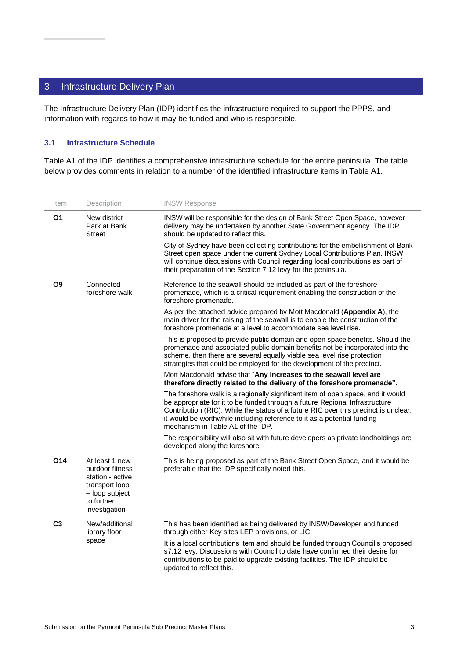# <span id="page-5-0"></span>3 Infrastructure Delivery Plan

The Infrastructure Delivery Plan (IDP) identifies the infrastructure required to support the PPPS, and information with regards to how it may be funded and who is responsible.

#### **3.1 Infrastructure Schedule**

Table A1 of the IDP identifies a comprehensive infrastructure schedule for the entire peninsula. The table below provides comments in relation to a number of the identified infrastructure items in Table A1.

| Item           | Description                                                                                                              | <b>INSW Response</b>                                                                                                                                                                                                                                                                                                                                                  |
|----------------|--------------------------------------------------------------------------------------------------------------------------|-----------------------------------------------------------------------------------------------------------------------------------------------------------------------------------------------------------------------------------------------------------------------------------------------------------------------------------------------------------------------|
| <b>O1</b>      | New district<br>Park at Bank<br><b>Street</b>                                                                            | INSW will be responsible for the design of Bank Street Open Space, however<br>delivery may be undertaken by another State Government agency. The IDP<br>should be updated to reflect this.                                                                                                                                                                            |
|                |                                                                                                                          | City of Sydney have been collecting contributions for the embellishment of Bank<br>Street open space under the current Sydney Local Contributions Plan. INSW<br>will continue discussions with Council regarding local contributions as part of<br>their preparation of the Section 7.12 levy for the peninsula.                                                      |
| O <sub>9</sub> | Connected<br>foreshore walk                                                                                              | Reference to the seawall should be included as part of the foreshore<br>promenade, which is a critical requirement enabling the construction of the<br>foreshore promenade.                                                                                                                                                                                           |
|                |                                                                                                                          | As per the attached advice prepared by Mott Macdonald (Appendix A), the<br>main driver for the raising of the seawall is to enable the construction of the<br>foreshore promenade at a level to accommodate sea level rise.                                                                                                                                           |
|                |                                                                                                                          | This is proposed to provide public domain and open space benefits. Should the<br>promenade and associated public domain benefits not be incorporated into the<br>scheme, then there are several equally viable sea level rise protection<br>strategies that could be employed for the development of the precinct.                                                    |
|                |                                                                                                                          | Mott Macdonald advise that "Any increases to the seawall level are<br>therefore directly related to the delivery of the foreshore promenade".                                                                                                                                                                                                                         |
|                |                                                                                                                          | The foreshore walk is a regionally significant item of open space, and it would<br>be appropriate for it to be funded through a future Regional Infrastructure<br>Contribution (RIC). While the status of a future RIC over this precinct is unclear,<br>it would be worthwhile including reference to it as a potential funding<br>mechanism in Table A1 of the IDP. |
|                |                                                                                                                          | The responsibility will also sit with future developers as private landholdings are<br>developed along the foreshore.                                                                                                                                                                                                                                                 |
| O14            | At least 1 new<br>outdoor fitness<br>station - active<br>transport loop<br>- loop subject<br>to further<br>investigation | This is being proposed as part of the Bank Street Open Space, and it would be<br>preferable that the IDP specifically noted this.                                                                                                                                                                                                                                     |
| C <sub>3</sub> | New/additional<br>library floor<br>space                                                                                 | This has been identified as being delivered by INSW/Developer and funded<br>through either Key sites LEP provisions, or LIC.                                                                                                                                                                                                                                          |
|                |                                                                                                                          | It is a local contributions item and should be funded through Council's proposed<br>s7.12 levy. Discussions with Council to date have confirmed their desire for<br>contributions to be paid to upgrade existing facilities. The IDP should be<br>updated to reflect this.                                                                                            |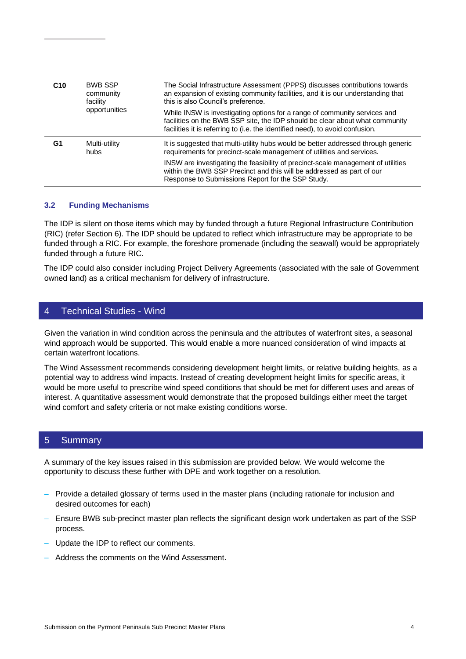| C <sub>10</sub> | <b>BWB SSP</b><br>community<br>facility<br>opportunities | The Social Infrastructure Assessment (PPPS) discusses contributions towards<br>an expansion of existing community facilities, and it is our understanding that<br>this is also Council's preference.                                       |
|-----------------|----------------------------------------------------------|--------------------------------------------------------------------------------------------------------------------------------------------------------------------------------------------------------------------------------------------|
|                 |                                                          | While INSW is investigating options for a range of community services and<br>facilities on the BWB SSP site, the IDP should be clear about what community<br>facilities it is referring to (i.e. the identified need), to avoid confusion. |
| G1              | Multi-utility<br>hubs                                    | It is suggested that multi-utility hubs would be better addressed through generic<br>requirements for precinct-scale management of utilities and services.                                                                                 |
|                 |                                                          | INSW are investigating the feasibility of precinct-scale management of utilities<br>within the BWB SSP Precinct and this will be addressed as part of our<br>Response to Submissions Report for the SSP Study.                             |

#### **3.2 Funding Mechanisms**

The IDP is silent on those items which may by funded through a future Regional Infrastructure Contribution (RIC) (refer Section 6). The IDP should be updated to reflect which infrastructure may be appropriate to be funded through a RIC. For example, the foreshore promenade (including the seawall) would be appropriately funded through a future RIC.

The IDP could also consider including Project Delivery Agreements (associated with the sale of Government owned land) as a critical mechanism for delivery of infrastructure.

## <span id="page-6-0"></span>4 Technical Studies - Wind

Given the variation in wind condition across the peninsula and the attributes of waterfront sites, a seasonal wind approach would be supported. This would enable a more nuanced consideration of wind impacts at certain waterfront locations.

The Wind Assessment recommends considering development height limits, or relative building heights, as a potential way to address wind impacts. Instead of creating development height limits for specific areas, it would be more useful to prescribe wind speed conditions that should be met for different uses and areas of interest. A quantitative assessment would demonstrate that the proposed buildings either meet the target wind comfort and safety criteria or not make existing conditions worse.

### <span id="page-6-1"></span>5 Summary

A summary of the key issues raised in this submission are provided below. We would welcome the opportunity to discuss these further with DPE and work together on a resolution.

- Provide a detailed glossary of terms used in the master plans (including rationale for inclusion and desired outcomes for each)
- Ensure BWB sub-precinct master plan reflects the significant design work undertaken as part of the SSP process.
- Update the IDP to reflect our comments.
- Address the comments on the Wind Assessment.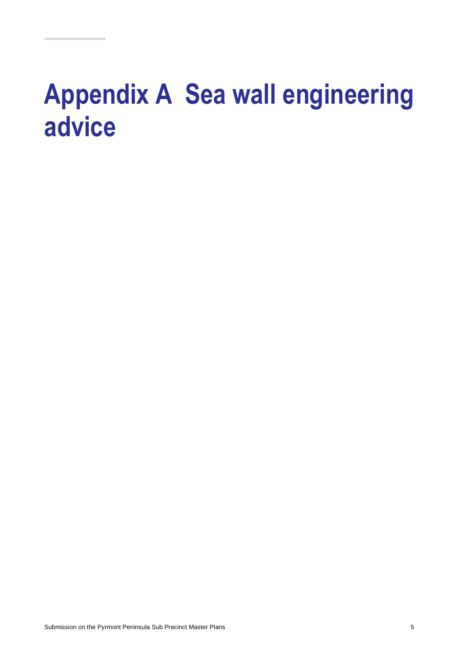# <span id="page-7-0"></span>**Appendix A Sea wall engineering advice**

Submission on the Pyrmont Peninsula Sub Precinct Master Plans 5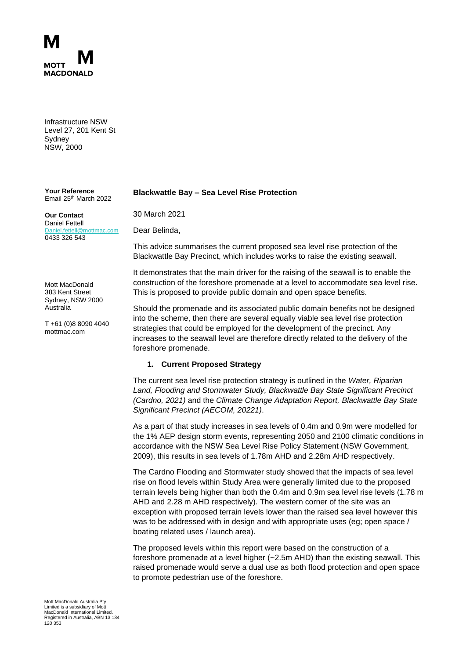

Infrastructure NSW Level 27, 201 Kent St **Sydney** NSW, 2000

**Your Reference** Email 25<sup>th</sup> March 2022

#### **Our Contact** Daniel Fettell [Daniel.fettell@mottmac.com](mailto:Daniel.fettell@mottmac.com) 0433 326 543

Mott MacDonald 383 Kent Street Sydney, NSW 2000 Australia

T +61 (0)8 8090 4040 mottmac.com

#### **Blackwattle Bay – Sea Level Rise Protection**

30 March 2021

Dear Belinda,

This advice summarises the current proposed sea level rise protection of the Blackwattle Bay Precinct, which includes works to raise the existing seawall.

It demonstrates that the main driver for the raising of the seawall is to enable the construction of the foreshore promenade at a level to accommodate sea level rise. This is proposed to provide public domain and open space benefits.

Should the promenade and its associated public domain benefits not be designed into the scheme, then there are several equally viable sea level rise protection strategies that could be employed for the development of the precinct. Any increases to the seawall level are therefore directly related to the delivery of the foreshore promenade.

#### **1. Current Proposed Strategy**

The current sea level rise protection strategy is outlined in the *Water, Riparian Land, Flooding and Stormwater Study, Blackwattle Bay State Significant Precinct (Cardno, 2021)* and the *Climate Change Adaptation Report, Blackwattle Bay State Significant Precinct (AECOM, 20221)*.

As a part of that study increases in sea levels of 0.4m and 0.9m were modelled for the 1% AEP design storm events, representing 2050 and 2100 climatic conditions in accordance with the NSW Sea Level Rise Policy Statement (NSW Government, 2009), this results in sea levels of 1.78m AHD and 2.28m AHD respectively.

The Cardno Flooding and Stormwater study showed that the impacts of sea level rise on flood levels within Study Area were generally limited due to the proposed terrain levels being higher than both the 0.4m and 0.9m sea level rise levels (1.78 m AHD and 2.28 m AHD respectively). The western corner of the site was an exception with proposed terrain levels lower than the raised sea level however this was to be addressed with in design and with appropriate uses (eg; open space / boating related uses / launch area).

The proposed levels within this report were based on the construction of a foreshore promenade at a level higher (~2.5m AHD) than the existing seawall. This raised promenade would serve a dual use as both flood protection and open space to promote pedestrian use of the foreshore.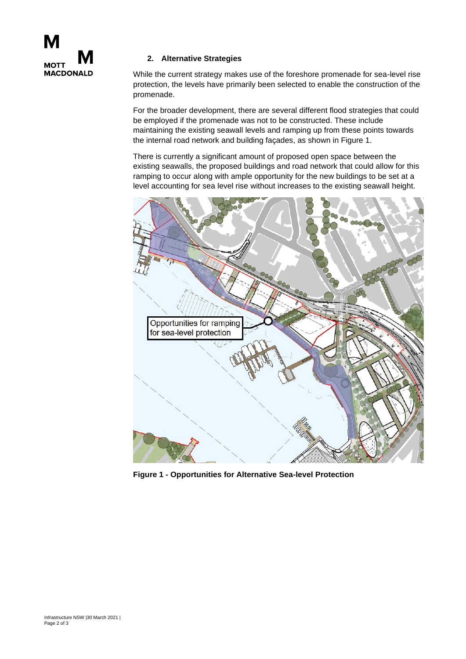

## **2. Alternative Strategies**

While the current strategy makes use of the foreshore promenade for sea-level rise protection, the levels have primarily been selected to enable the construction of the promenade.

For the broader development, there are several different flood strategies that could be employed if the promenade was not to be constructed. These include maintaining the existing seawall levels and ramping up from these points towards the internal road network and building façades, as shown in Figure 1.

There is currently a significant amount of proposed open space between the existing seawalls, the proposed buildings and road network that could allow for this ramping to occur along with ample opportunity for the new buildings to be set at a level accounting for sea level rise without increases to the existing seawall height.



**Figure 1 - Opportunities for Alternative Sea-level Protection**